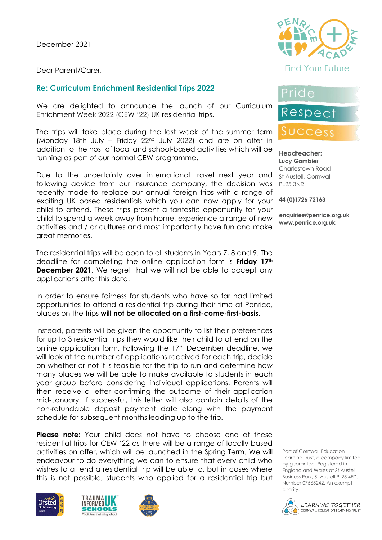December 2021

Dear Parent/Carer,

### **Re: Curriculum Enrichment Residential Trips 2022**

We are delighted to announce the launch of our Curriculum Enrichment Week 2022 (CEW '22) UK residential trips.

The trips will take place during the last week of the summer term (Monday 18th July – Friday 22nd July 2022) and are on offer in addition to the host of local and school-based activities which will be running as part of our normal CEW programme.

Due to the uncertainty over international travel next year and following advice from our insurance company, the decision was recently made to replace our annual foreign trips with a range of exciting UK based residentials which you can now apply for your child to attend. These trips present a fantastic opportunity for your child to spend a week away from home, experience a range of new activities and / or cultures and most importantly have fun and make great memories.

The residential trips will be open to all students in Years 7, 8 and 9. The deadline for completing the online application form is **Friday 17th December 2021**. We regret that we will not be able to accept any applications after this date.

In order to ensure fairness for students who have so far had limited opportunities to attend a residential trip during their time at Penrice, places on the trips **will not be allocated on a first-come-first-basis.**

Instead, parents will be given the opportunity to list their preferences for up to 3 residential trips they would like their child to attend on the online application form. Following the 17<sup>th</sup> December deadline, we will look at the number of applications received for each trip, decide on whether or not it is feasible for the trip to run and determine how many places we will be able to make available to students in each year group before considering individual applications. Parents will then receive a letter confirming the outcome of their application mid-January. If successful, this letter will also contain details of the non-refundable deposit payment date along with the payment schedule for subsequent months leading up to the trip.

**Please note:** Your child does not have to choose one of these residential trips for CEW '22 as there will be a range of locally based activities on offer, which will be launched in the Spring Term. We will endeavour to do everything we can to ensure that every child who wishes to attend a residential trip will be able to, but in cases where this is not possible, students who applied for a residential trip but









## Pride

# Respect

### SUCCess

**Headteacher: Lucy Gambier** Charlestown Road St Austell, Cornwall PL25 3NR

**44 (0)1726 72163**

**enquiries@penrice.org.uk www.penrice.org.uk**

Part of Cornwall Education Learning Trust, a company limited by guarantee. Registered in England and Wales at St Austell Business Park, St Austell PL25 4FD. Number 07565242. An exempt charity.